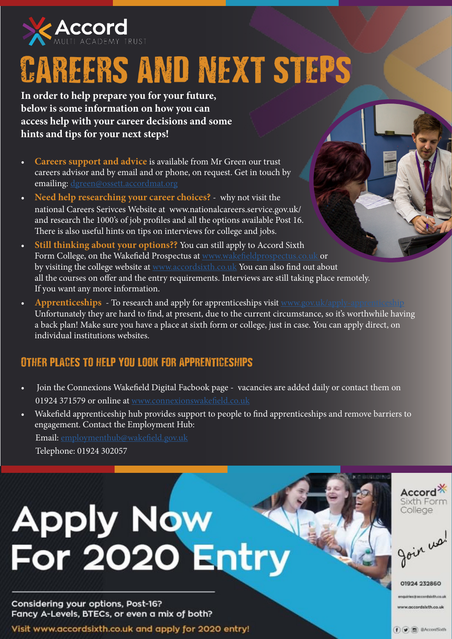

## CAREERS AND NEXT STEPS

**In order to help prepare you for your future, below is some information on how you can access help with your career decisions and some hints and tips for your next steps!**

- **Careers support and advice** is available from Mr Green our trust careers advisor and by email and or phone, on request. Get in touch by emailing: [dgreen@ossett.accordmat.org](mailto:dgreen%40ossett.accordmat.org%20?subject=)
- **• Need help researching your career choices?** why not visit the national Careers Serivces Website at www.nationalcareers.service.gov.uk/ and research the 1000's of job profiles and all the options available Post 16. There is also useful hints on tips on interviews for college and jobs.
- **Still thinking about your options??** You can still apply to Accord Sixth Form College, on the Wakefield Prospectus at [www.wakefieldprospectus.co.uk o](http://www.wakefieldprospectus.co.uk )r by visiting the college website at [www.accordsixth.co.uk](http://www.accordsixth.co.uk) You can also find out about all the courses on offer and the entry requirements. Interviews are still taking place remotely. If you want any more information.
- **Apprenticeships** To research and apply for apprenticeships visit www.gov.uk/apply-app Unfortunately they are hard to find, at present, due to the current circumstance, so it's worthwhile having a back plan! Make sure you have a place at sixth form or college, just in case. You can apply direct, on individual institutions websites.

#### Other places to help you look for apprenticeships

- Join the Connexions Wakefield Digital Facbook page vacancies are added daily or contact them on 01924 371579 or online at [www.connexionswakefield.co.uk](http://www.connexionswakefield.co.uk )
- Wakefield apprenticeship hub provides support to people to find apprenticeships and remove barriers to engagement. Contact the Employment Hub: Email: [employmenthub@wakefield.gov.uk](mailto:employmenthub%40wakefield.gov.uk?subject=) Telephone: 01924 302057

# **Apply Now** For 2020 Entry

Considering your options, Post-16? Fancy A-Levels, BTECs, or even a mix of both?

Visit www.accordsixth.co.uk and apply for 2020 entry!



goin us!

01924 232860 quiries it occastdistives

ww.accordslxth.co.uk